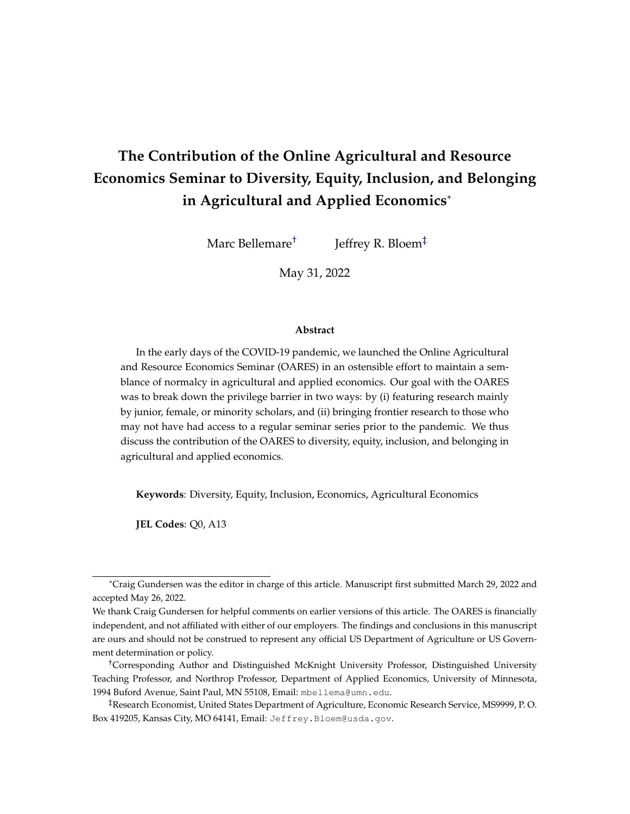# <span id="page-0-0"></span>**The Contribution of the Online Agricultural and Resource Economics Seminar to Diversity, Equity, Inclusion, and Belonging in Agricultural and Applied Economics**\*

Marc Bellemare† Jeffrey R. Bloem‡

May 31, 2022

#### **Abstract**

In the early days of the COVID-19 pandemic, we launched the Online Agricultural and Resource Economics Seminar (OARES) in an ostensible effort to maintain a semblance of normalcy in agricultural and applied economics. Our goal with the OARES was to break down the privilege barrier in two ways: by (i) featuring research mainly by junior, female, or minority scholars, and (ii) bringing frontier research to those who may not have had access to a regular seminar series prior to the pandemic. We thus discuss the contribution of the OARES to diversity, equity, inclusion, and belonging in agricultural and applied economics.

**Keywords**: Diversity, Equity, Inclusion, Economics, Agricultural Economics

**JEL Codes**: Q0, A13

<sup>\*</sup>Craig Gundersen was the editor in charge of this article. Manuscript first submitted March 29, 2022 and accepted May 26, 2022.

We thank Craig Gundersen for helpful comments on earlier versions of this article. The OARES is financially independent, and not affiliated with either of our employers. The findings and conclusions in this manuscript are ours and should not be construed to represent any official US Department of Agriculture or US Government determination or policy.

<sup>†</sup>Corresponding Author and Distinguished McKnight University Professor, Distinguished University Teaching Professor, and Northrop Professor, Department of Applied Economics, University of Minnesota, 1994 Buford Avenue, Saint Paul, MN 55108, Email: mbellema@umn.edu.

<sup>‡</sup>Research Economist, United States Department of Agriculture, Economic Research Service, MS9999, P. O. Box 419205, Kansas City, MO 64141, Email: Jeffrey. Bloem@usda.gov.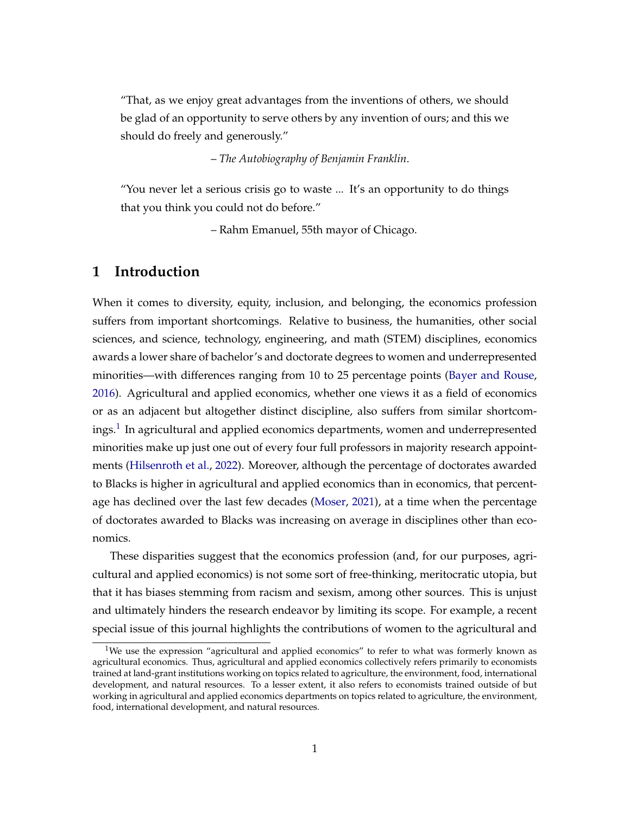"That, as we enjoy great advantages from the inventions of others, we should be glad of an opportunity to serve others by any invention of ours; and this we should do freely and generously."

– *The Autobiography of Benjamin Franklin*.

"You never let a serious crisis go to waste ... It's an opportunity to do things that you think you could not do before."

– Rahm Emanuel, 55th mayor of Chicago.

### **1 Introduction**

When it comes to diversity, equity, inclusion, and belonging, the economics profession suffers from important shortcomings. Relative to business, the humanities, other social sciences, and science, technology, engineering, and math (STEM) disciplines, economics awards a lower share of bachelor's and doctorate degrees to women and underrepresented minorities—with differences ranging from 10 to 25 percentage points [\(Bayer and Rouse,](#page-20-0) [2016\)](#page-20-0). Agricultural and applied economics, whether one views it as a field of economics or as an adjacent but altogether distinct discipline, also suffers from similar shortcomings. $^1$  $^1$  In agricultural and applied economics departments, women and underrepresented minorities make up just one out of every four full professors in majority research appointments [\(Hilsenroth et al.,](#page-21-0) [2022\)](#page-21-0). Moreover, although the percentage of doctorates awarded to Blacks is higher in agricultural and applied economics than in economics, that percentage has declined over the last few decades [\(Moser,](#page-22-0) [2021\)](#page-22-0), at a time when the percentage of doctorates awarded to Blacks was increasing on average in disciplines other than economics.

These disparities suggest that the economics profession (and, for our purposes, agricultural and applied economics) is not some sort of free-thinking, meritocratic utopia, but that it has biases stemming from racism and sexism, among other sources. This is unjust and ultimately hinders the research endeavor by limiting its scope. For example, a recent special issue of this journal highlights the contributions of women to the agricultural and

<sup>&</sup>lt;sup>1</sup>We use the expression "agricultural and applied economics" to refer to what was formerly known as agricultural economics. Thus, agricultural and applied economics collectively refers primarily to economists trained at land-grant institutions working on topics related to agriculture, the environment, food, international development, and natural resources. To a lesser extent, it also refers to economists trained outside of but working in agricultural and applied economics departments on topics related to agriculture, the environment, food, international development, and natural resources.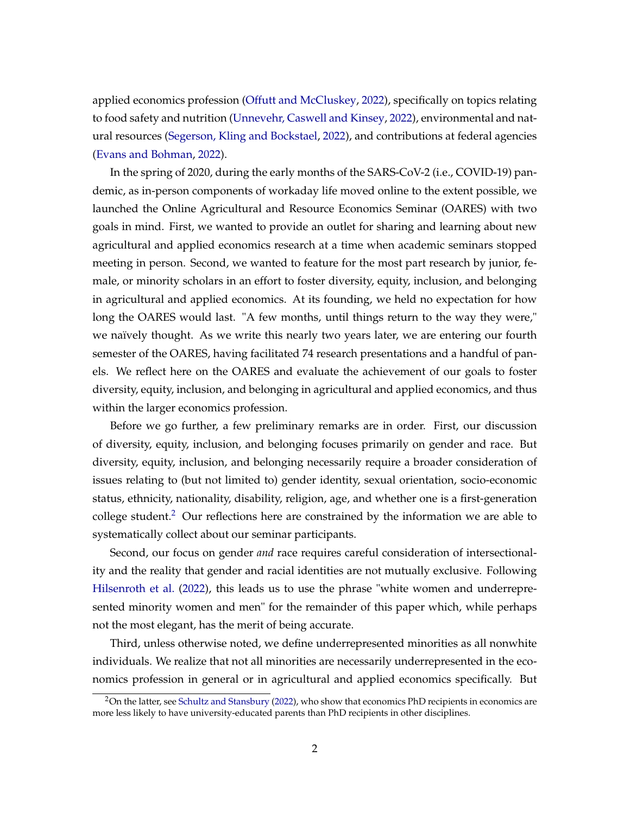applied economics profession [\(Offutt and McCluskey,](#page-22-1) [2022\)](#page-22-1), specifically on topics relating to food safety and nutrition [\(Unnevehr, Caswell and Kinsey,](#page-22-2) [2022\)](#page-22-2), environmental and natural resources [\(Segerson, Kling and Bockstael,](#page-22-3) [2022\)](#page-22-3), and contributions at federal agencies [\(Evans and Bohman,](#page-21-1) [2022\)](#page-21-1).

In the spring of 2020, during the early months of the SARS-CoV-2 (i.e., COVID-19) pandemic, as in-person components of workaday life moved online to the extent possible, we launched the Online Agricultural and Resource Economics Seminar (OARES) with two goals in mind. First, we wanted to provide an outlet for sharing and learning about new agricultural and applied economics research at a time when academic seminars stopped meeting in person. Second, we wanted to feature for the most part research by junior, female, or minority scholars in an effort to foster diversity, equity, inclusion, and belonging in agricultural and applied economics. At its founding, we held no expectation for how long the OARES would last. "A few months, until things return to the way they were," we naïvely thought. As we write this nearly two years later, we are entering our fourth semester of the OARES, having facilitated 74 research presentations and a handful of panels. We reflect here on the OARES and evaluate the achievement of our goals to foster diversity, equity, inclusion, and belonging in agricultural and applied economics, and thus within the larger economics profession.

Before we go further, a few preliminary remarks are in order. First, our discussion of diversity, equity, inclusion, and belonging focuses primarily on gender and race. But diversity, equity, inclusion, and belonging necessarily require a broader consideration of issues relating to (but not limited to) gender identity, sexual orientation, socio-economic status, ethnicity, nationality, disability, religion, age, and whether one is a first-generation college student.<sup>[2](#page-0-0)</sup> Our reflections here are constrained by the information we are able to systematically collect about our seminar participants.

Second, our focus on gender *and* race requires careful consideration of intersectionality and the reality that gender and racial identities are not mutually exclusive. Following [Hilsenroth et al.](#page-21-0) [\(2022\)](#page-21-0), this leads us to use the phrase "white women and underrepresented minority women and men" for the remainder of this paper which, while perhaps not the most elegant, has the merit of being accurate.

Third, unless otherwise noted, we define underrepresented minorities as all nonwhite individuals. We realize that not all minorities are necessarily underrepresented in the economics profession in general or in agricultural and applied economics specifically. But

 $2$ On the latter, see [Schultz and Stansbury](#page-22-4) [\(2022\)](#page-22-4), who show that economics PhD recipients in economics are more less likely to have university-educated parents than PhD recipients in other disciplines.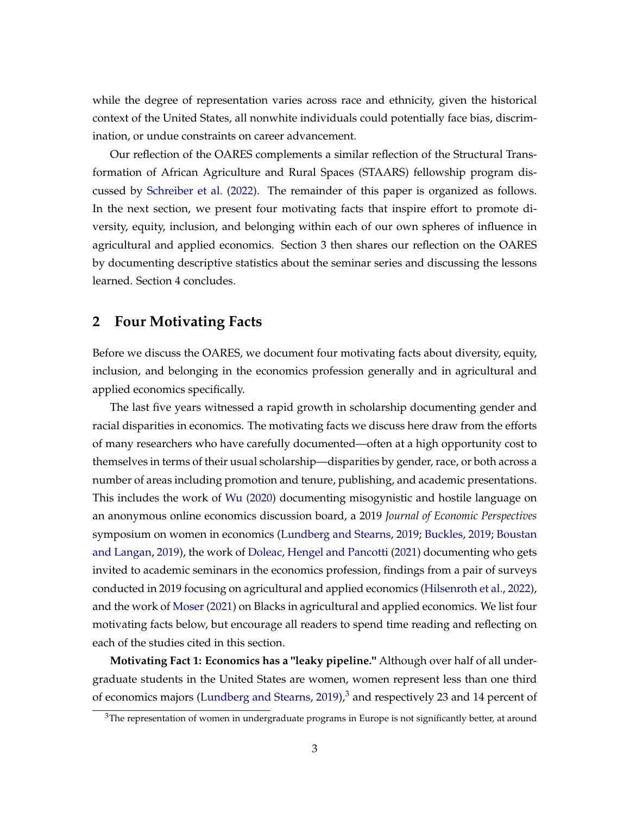while the degree of representation varies across race and ethnicity, given the historical context of the United States, all nonwhite individuals could potentially face bias, discrimination, or undue constraints on career advancement.

Our reflection of the OARES complements a similar reflection of the Structural Transformation of African Agriculture and Rural Spaces (STAARS) fellowship program discussed by [Schreiber et al.](#page-22-5) [\(2022\)](#page-22-5). The remainder of this paper is organized as follows. In the next section, we present four motivating facts that inspire effort to promote diversity, equity, inclusion, and belonging within each of our own spheres of influence in agricultural and applied economics. Section 3 then shares our reflection on the OARES by documenting descriptive statistics about the seminar series and discussing the lessons learned. Section 4 concludes.

### **2 Four Motivating Facts**

Before we discuss the OARES, we document four motivating facts about diversity, equity, inclusion, and belonging in the economics profession generally and in agricultural and applied economics specifically.

The last five years witnessed a rapid growth in scholarship documenting gender and racial disparities in economics. The motivating facts we discuss here draw from the efforts of many researchers who have carefully documented—often at a high opportunity cost to themselves in terms of their usual scholarship—disparities by gender, race, or both across a number of areas including promotion and tenure, publishing, and academic presentations. This includes the work of [Wu](#page-23-0) [\(2020\)](#page-23-0) documenting misogynistic and hostile language on an anonymous online economics discussion board, a 2019 *Journal of Economic Perspectives* symposium on women in economics [\(Lundberg and Stearns,](#page-22-6) [2019;](#page-22-6) [Buckles,](#page-20-1) [2019;](#page-20-1) [Boustan](#page-20-2) [and Langan,](#page-20-2) [2019\)](#page-20-2), the work of [Doleac, Hengel and Pancotti](#page-20-3) [\(2021\)](#page-20-3) documenting who gets invited to academic seminars in the economics profession, findings from a pair of surveys conducted in 2019 focusing on agricultural and applied economics [\(Hilsenroth et al.,](#page-21-0) [2022\)](#page-21-0), and the work of [Moser](#page-22-0) [\(2021\)](#page-22-0) on Blacks in agricultural and applied economics. We list four motivating facts below, but encourage all readers to spend time reading and reflecting on each of the studies cited in this section.

**Motivating Fact 1: Economics has a "leaky pipeline."** Although over half of all undergraduate students in the United States are women, women represent less than one third of economics majors [\(Lundberg and Stearns,](#page-22-6) [2019\)](#page-22-6), $3$  and respectively 23 and 14 percent of

 $3$ The representation of women in undergraduate programs in Europe is not significantly better, at around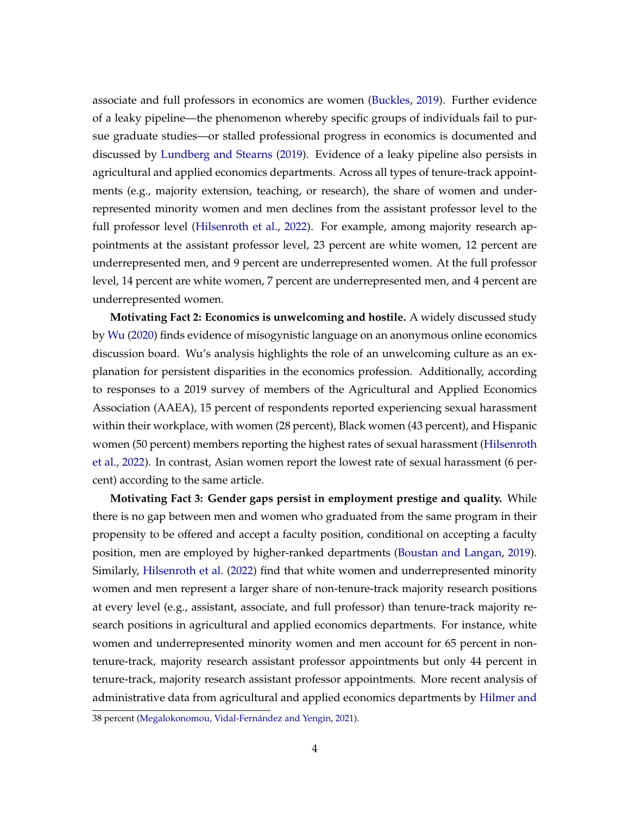associate and full professors in economics are women [\(Buckles,](#page-20-1) [2019\)](#page-20-1). Further evidence of a leaky pipeline—the phenomenon whereby specific groups of individuals fail to pursue graduate studies—or stalled professional progress in economics is documented and discussed by [Lundberg and Stearns](#page-22-6) [\(2019\)](#page-22-6). Evidence of a leaky pipeline also persists in agricultural and applied economics departments. Across all types of tenure-track appointments (e.g., majority extension, teaching, or research), the share of women and underrepresented minority women and men declines from the assistant professor level to the full professor level [\(Hilsenroth et al.,](#page-21-0) [2022\)](#page-21-0). For example, among majority research appointments at the assistant professor level, 23 percent are white women, 12 percent are underrepresented men, and 9 percent are underrepresented women. At the full professor level, 14 percent are white women, 7 percent are underrepresented men, and 4 percent are underrepresented women.

**Motivating Fact 2: Economics is unwelcoming and hostile.** A widely discussed study by [Wu](#page-23-0) [\(2020\)](#page-23-0) finds evidence of misogynistic language on an anonymous online economics discussion board. Wu's analysis highlights the role of an unwelcoming culture as an explanation for persistent disparities in the economics profession. Additionally, according to responses to a 2019 survey of members of the Agricultural and Applied Economics Association (AAEA), 15 percent of respondents reported experiencing sexual harassment within their workplace, with women (28 percent), Black women (43 percent), and Hispanic women (50 percent) members reporting the highest rates of sexual harassment [\(Hilsenroth](#page-21-0) [et al.,](#page-21-0) [2022\)](#page-21-0). In contrast, Asian women report the lowest rate of sexual harassment (6 percent) according to the same article.

**Motivating Fact 3: Gender gaps persist in employment prestige and quality.** While there is no gap between men and women who graduated from the same program in their propensity to be offered and accept a faculty position, conditional on accepting a faculty position, men are employed by higher-ranked departments [\(Boustan and Langan,](#page-20-2) [2019\)](#page-20-2). Similarly, [Hilsenroth et al.](#page-21-0) [\(2022\)](#page-21-0) find that white women and underrepresented minority women and men represent a larger share of non-tenure-track majority research positions at every level (e.g., assistant, associate, and full professor) than tenure-track majority research positions in agricultural and applied economics departments. For instance, white women and underrepresented minority women and men account for 65 percent in nontenure-track, majority research assistant professor appointments but only 44 percent in tenure-track, majority research assistant professor appointments. More recent analysis of administrative data from agricultural and applied economics departments by [Hilmer and](#page-21-2)

[<sup>38</sup> percent \(Megalokonomou, Vidal-Fernández and Yengin,](#page-21-2) [2021\)](#page-22-7).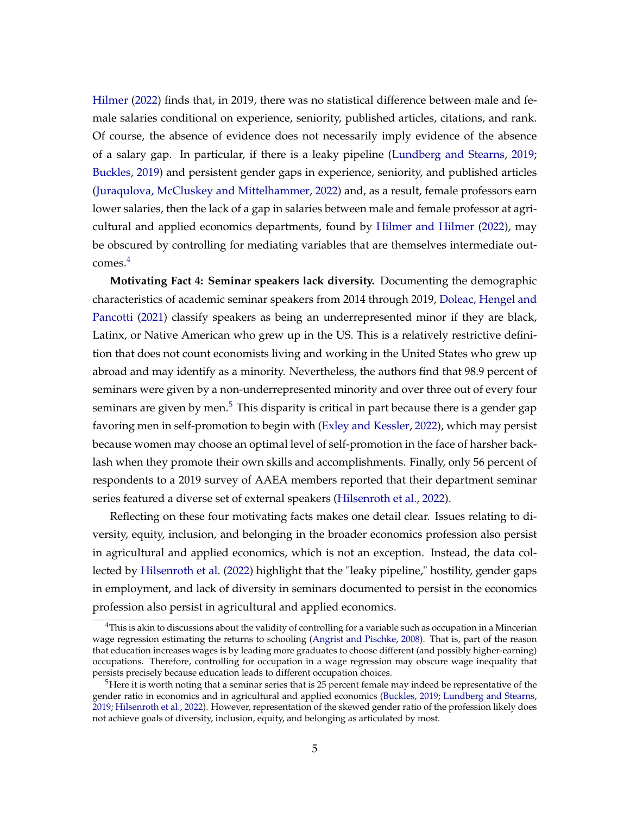[Hilmer](#page-21-2) [\(2022\)](#page-21-2) finds that, in 2019, there was no statistical difference between male and female salaries conditional on experience, seniority, published articles, citations, and rank. Of course, the absence of evidence does not necessarily imply evidence of the absence of a salary gap. In particular, if there is a leaky pipeline [\(Lundberg and Stearns,](#page-22-6) [2019;](#page-22-6) [Buckles,](#page-20-1) [2019\)](#page-20-1) and persistent gender gaps in experience, seniority, and published articles [\(Juraqulova, McCluskey and Mittelhammer,](#page-21-3) [2022\)](#page-21-3) and, as a result, female professors earn lower salaries, then the lack of a gap in salaries between male and female professor at agricultural and applied economics departments, found by [Hilmer and Hilmer](#page-21-2) [\(2022\)](#page-21-2), may be obscured by controlling for mediating variables that are themselves intermediate outcomes.[4](#page-0-0)

**Motivating Fact 4: Seminar speakers lack diversity.** Documenting the demographic characteristics of academic seminar speakers from 2014 through 2019, [Doleac, Hengel and](#page-20-3) [Pancotti](#page-20-3) [\(2021\)](#page-20-3) classify speakers as being an underrepresented minor if they are black, Latinx, or Native American who grew up in the US. This is a relatively restrictive definition that does not count economists living and working in the United States who grew up abroad and may identify as a minority. Nevertheless, the authors find that 98.9 percent of seminars were given by a non-underrepresented minority and over three out of every four seminars are given by men.<sup>[5](#page-0-0)</sup> This disparity is critical in part because there is a gender gap favoring men in self-promotion to begin with [\(Exley and Kessler,](#page-21-4) [2022\)](#page-21-4), which may persist because women may choose an optimal level of self-promotion in the face of harsher backlash when they promote their own skills and accomplishments. Finally, only 56 percent of respondents to a 2019 survey of AAEA members reported that their department seminar series featured a diverse set of external speakers [\(Hilsenroth et al.,](#page-21-0) [2022\)](#page-21-0).

Reflecting on these four motivating facts makes one detail clear. Issues relating to diversity, equity, inclusion, and belonging in the broader economics profession also persist in agricultural and applied economics, which is not an exception. Instead, the data collected by [Hilsenroth et al.](#page-21-0) [\(2022\)](#page-21-0) highlight that the "leaky pipeline," hostility, gender gaps in employment, and lack of diversity in seminars documented to persist in the economics profession also persist in agricultural and applied economics.

 $4$ This is akin to discussions about the validity of controlling for a variable such as occupation in a Mincerian wage regression estimating the returns to schooling [\(Angrist and Pischke,](#page-20-4) [2008\)](#page-20-4). That is, part of the reason that education increases wages is by leading more graduates to choose different (and possibly higher-earning) occupations. Therefore, controlling for occupation in a wage regression may obscure wage inequality that persists precisely because education leads to different occupation choices.

 $5$ Here it is worth noting that a seminar series that is 25 percent female may indeed be representative of the gender ratio in economics and in agricultural and applied economics [\(Buckles,](#page-20-1) [2019;](#page-20-1) [Lundberg and Stearns,](#page-22-6) [2019;](#page-22-6) [Hilsenroth et al.,](#page-21-0) [2022\)](#page-21-0). However, representation of the skewed gender ratio of the profession likely does not achieve goals of diversity, inclusion, equity, and belonging as articulated by most.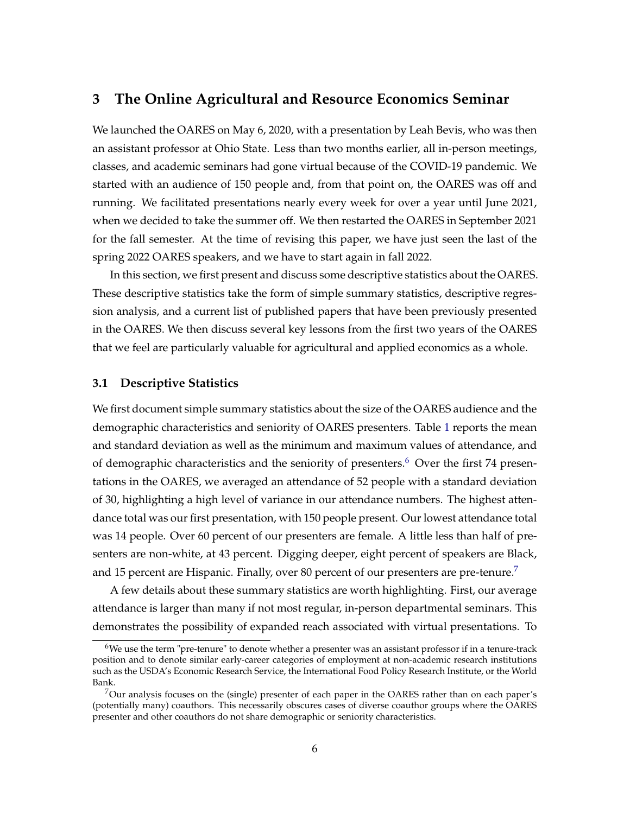### **3 The Online Agricultural and Resource Economics Seminar**

We launched the OARES on May 6, 2020, with a presentation by Leah Bevis, who was then an assistant professor at Ohio State. Less than two months earlier, all in-person meetings, classes, and academic seminars had gone virtual because of the COVID-19 pandemic. We started with an audience of 150 people and, from that point on, the OARES was off and running. We facilitated presentations nearly every week for over a year until June 2021, when we decided to take the summer off. We then restarted the OARES in September 2021 for the fall semester. At the time of revising this paper, we have just seen the last of the spring 2022 OARES speakers, and we have to start again in fall 2022.

In this section, we first present and discuss some descriptive statistics about the OARES. These descriptive statistics take the form of simple summary statistics, descriptive regression analysis, and a current list of published papers that have been previously presented in the OARES. We then discuss several key lessons from the first two years of the OARES that we feel are particularly valuable for agricultural and applied economics as a whole.

### **3.1 Descriptive Statistics**

We first document simple summary statistics about the size of the OARES audience and the demographic characteristics and seniority of OARES presenters. Table [1](#page-14-0) reports the mean and standard deviation as well as the minimum and maximum values of attendance, and of demographic characteristics and the seniority of presenters.<sup>[6](#page-0-0)</sup> Over the first 74 presentations in the OARES, we averaged an attendance of 52 people with a standard deviation of 30, highlighting a high level of variance in our attendance numbers. The highest attendance total was our first presentation, with 150 people present. Our lowest attendance total was 14 people. Over 60 percent of our presenters are female. A little less than half of presenters are non-white, at 43 percent. Digging deeper, eight percent of speakers are Black, and 15 percent are Hispanic. Finally, over 80 percent of our presenters are pre-tenure.<sup>[7](#page-0-0)</sup>

A few details about these summary statistics are worth highlighting. First, our average attendance is larger than many if not most regular, in-person departmental seminars. This demonstrates the possibility of expanded reach associated with virtual presentations. To

 $6$ We use the term "pre-tenure" to denote whether a presenter was an assistant professor if in a tenure-track position and to denote similar early-career categories of employment at non-academic research institutions such as the USDA's Economic Research Service, the International Food Policy Research Institute, or the World Bank.

<sup>7</sup>Our analysis focuses on the (single) presenter of each paper in the OARES rather than on each paper's (potentially many) coauthors. This necessarily obscures cases of diverse coauthor groups where the OARES presenter and other coauthors do not share demographic or seniority characteristics.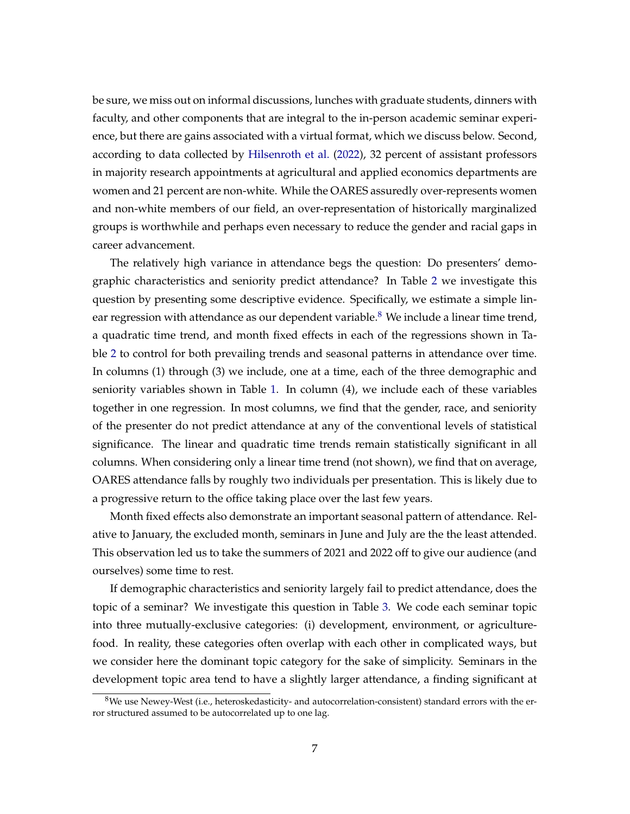be sure, we miss out on informal discussions, lunches with graduate students, dinners with faculty, and other components that are integral to the in-person academic seminar experience, but there are gains associated with a virtual format, which we discuss below. Second, according to data collected by [Hilsenroth et al.](#page-21-0) [\(2022\)](#page-21-0), 32 percent of assistant professors in majority research appointments at agricultural and applied economics departments are women and 21 percent are non-white. While the OARES assuredly over-represents women and non-white members of our field, an over-representation of historically marginalized groups is worthwhile and perhaps even necessary to reduce the gender and racial gaps in career advancement.

The relatively high variance in attendance begs the question: Do presenters' demographic characteristics and seniority predict attendance? In Table [2](#page-15-0) we investigate this question by presenting some descriptive evidence. Specifically, we estimate a simple lin-ear regression with attendance as our dependent variable.<sup>[8](#page-0-0)</sup> We include a linear time trend, a quadratic time trend, and month fixed effects in each of the regressions shown in Table [2](#page-15-0) to control for both prevailing trends and seasonal patterns in attendance over time. In columns (1) through (3) we include, one at a time, each of the three demographic and seniority variables shown in Table [1.](#page-14-0) In column (4), we include each of these variables together in one regression. In most columns, we find that the gender, race, and seniority of the presenter do not predict attendance at any of the conventional levels of statistical significance. The linear and quadratic time trends remain statistically significant in all columns. When considering only a linear time trend (not shown), we find that on average, OARES attendance falls by roughly two individuals per presentation. This is likely due to a progressive return to the office taking place over the last few years.

Month fixed effects also demonstrate an important seasonal pattern of attendance. Relative to January, the excluded month, seminars in June and July are the the least attended. This observation led us to take the summers of 2021 and 2022 off to give our audience (and ourselves) some time to rest.

If demographic characteristics and seniority largely fail to predict attendance, does the topic of a seminar? We investigate this question in Table [3.](#page-16-0) We code each seminar topic into three mutually-exclusive categories: (i) development, environment, or agriculturefood. In reality, these categories often overlap with each other in complicated ways, but we consider here the dominant topic category for the sake of simplicity. Seminars in the development topic area tend to have a slightly larger attendance, a finding significant at

 $8$ We use Newey-West (i.e., heteroskedasticity- and autocorrelation-consistent) standard errors with the error structured assumed to be autocorrelated up to one lag.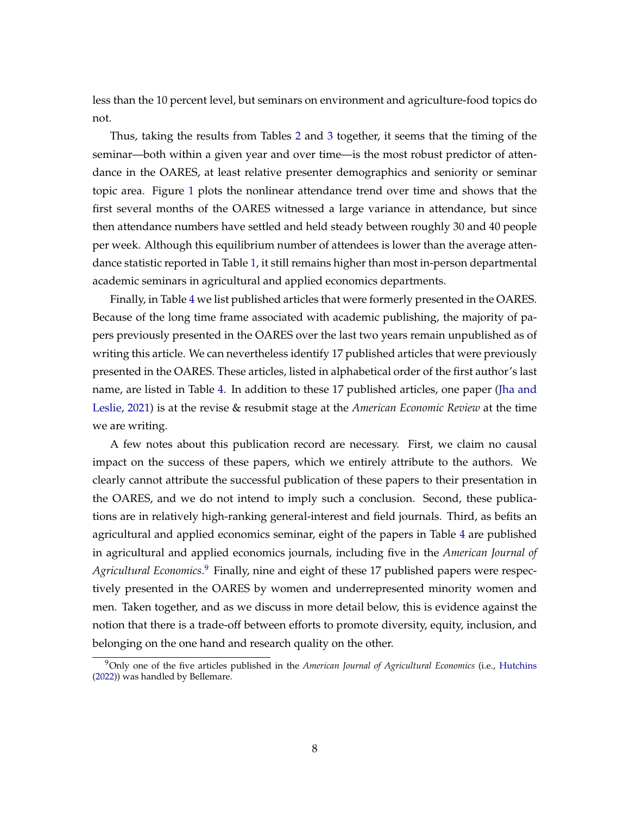less than the 10 percent level, but seminars on environment and agriculture-food topics do not.

Thus, taking the results from Tables [2](#page-15-0) and [3](#page-16-0) together, it seems that the timing of the seminar—both within a given year and over time—is the most robust predictor of attendance in the OARES, at least relative presenter demographics and seniority or seminar topic area. Figure [1](#page-17-0) plots the nonlinear attendance trend over time and shows that the first several months of the OARES witnessed a large variance in attendance, but since then attendance numbers have settled and held steady between roughly 30 and 40 people per week. Although this equilibrium number of attendees is lower than the average attendance statistic reported in Table [1,](#page-14-0) it still remains higher than most in-person departmental academic seminars in agricultural and applied economics departments.

Finally, in Table [4](#page-18-0) we list published articles that were formerly presented in the OARES. Because of the long time frame associated with academic publishing, the majority of papers previously presented in the OARES over the last two years remain unpublished as of writing this article. We can nevertheless identify 17 published articles that were previously presented in the OARES. These articles, listed in alphabetical order of the first author's last name, are listed in Table [4.](#page-18-0) In addition to these 17 published articles, one paper [\(Jha and](#page-21-5) [Leslie,](#page-21-5) [2021\)](#page-21-5) is at the revise & resubmit stage at the *American Economic Review* at the time we are writing.

A few notes about this publication record are necessary. First, we claim no causal impact on the success of these papers, which we entirely attribute to the authors. We clearly cannot attribute the successful publication of these papers to their presentation in the OARES, and we do not intend to imply such a conclusion. Second, these publications are in relatively high-ranking general-interest and field journals. Third, as befits an agricultural and applied economics seminar, eight of the papers in Table [4](#page-18-0) are published in agricultural and applied economics journals, including five in the *American Journal of* Agricultural Economics.<sup>[9](#page-0-0)</sup> Finally, nine and eight of these 17 published papers were respectively presented in the OARES by women and underrepresented minority women and men. Taken together, and as we discuss in more detail below, this is evidence against the notion that there is a trade-off between efforts to promote diversity, equity, inclusion, and belonging on the one hand and research quality on the other.

<sup>9</sup>Only one of the five articles published in the *American Journal of Agricultural Economics* (i.e., [Hutchins](#page-21-6) [\(2022\)](#page-21-6)) was handled by Bellemare.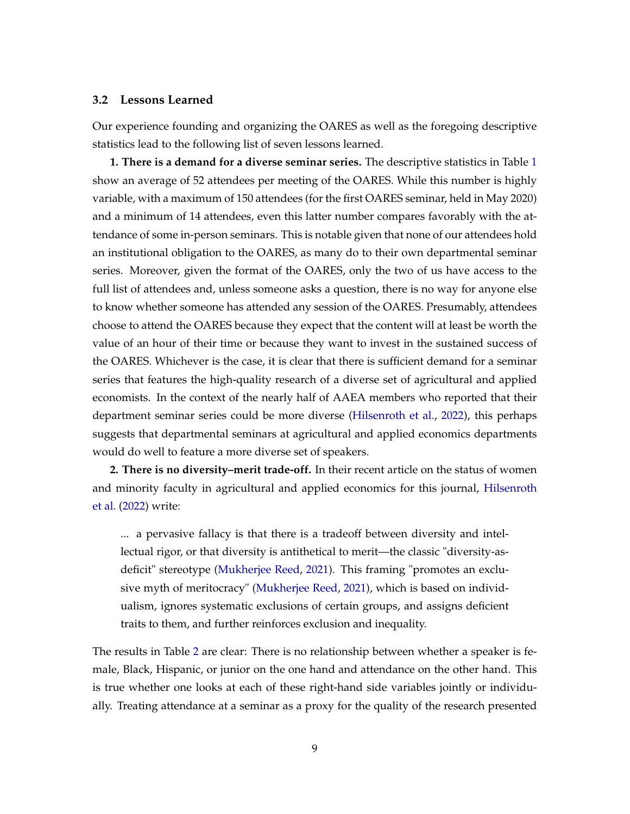#### **3.2 Lessons Learned**

Our experience founding and organizing the OARES as well as the foregoing descriptive statistics lead to the following list of seven lessons learned.

**1. There is a demand for a diverse seminar series.** The descriptive statistics in Table [1](#page-14-0) show an average of 52 attendees per meeting of the OARES. While this number is highly variable, with a maximum of 150 attendees (for the first OARES seminar, held in May 2020) and a minimum of 14 attendees, even this latter number compares favorably with the attendance of some in-person seminars. This is notable given that none of our attendees hold an institutional obligation to the OARES, as many do to their own departmental seminar series. Moreover, given the format of the OARES, only the two of us have access to the full list of attendees and, unless someone asks a question, there is no way for anyone else to know whether someone has attended any session of the OARES. Presumably, attendees choose to attend the OARES because they expect that the content will at least be worth the value of an hour of their time or because they want to invest in the sustained success of the OARES. Whichever is the case, it is clear that there is sufficient demand for a seminar series that features the high-quality research of a diverse set of agricultural and applied economists. In the context of the nearly half of AAEA members who reported that their department seminar series could be more diverse [\(Hilsenroth et al.,](#page-21-0) [2022\)](#page-21-0), this perhaps suggests that departmental seminars at agricultural and applied economics departments would do well to feature a more diverse set of speakers.

**2. There is no diversity–merit trade-off.** In their recent article on the status of women and minority faculty in agricultural and applied economics for this journal, [Hilsenroth](#page-21-0) [et al.](#page-21-0) [\(2022\)](#page-21-0) write:

... a pervasive fallacy is that there is a tradeoff between diversity and intellectual rigor, or that diversity is antithetical to merit—the classic "diversity-asdeficit" stereotype [\(Mukherjee Reed,](#page-22-8) [2021\)](#page-22-8). This framing "promotes an exclusive myth of meritocracy" [\(Mukherjee Reed,](#page-22-8) [2021\)](#page-22-8), which is based on individualism, ignores systematic exclusions of certain groups, and assigns deficient traits to them, and further reinforces exclusion and inequality.

The results in Table [2](#page-15-0) are clear: There is no relationship between whether a speaker is female, Black, Hispanic, or junior on the one hand and attendance on the other hand. This is true whether one looks at each of these right-hand side variables jointly or individually. Treating attendance at a seminar as a proxy for the quality of the research presented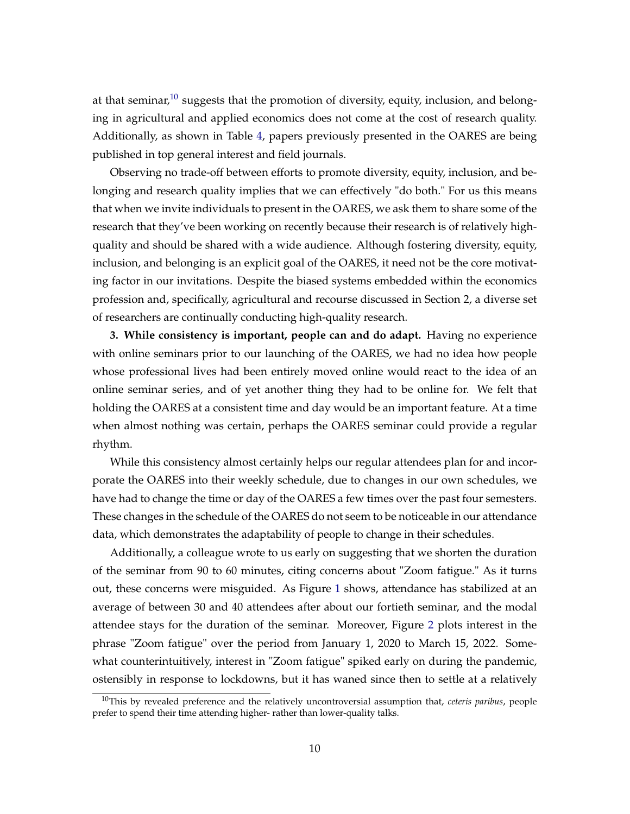at that seminar,<sup>[10](#page-0-0)</sup> suggests that the promotion of diversity, equity, inclusion, and belonging in agricultural and applied economics does not come at the cost of research quality. Additionally, as shown in Table [4,](#page-18-0) papers previously presented in the OARES are being published in top general interest and field journals.

Observing no trade-off between efforts to promote diversity, equity, inclusion, and belonging and research quality implies that we can effectively "do both." For us this means that when we invite individuals to present in the OARES, we ask them to share some of the research that they've been working on recently because their research is of relatively highquality and should be shared with a wide audience. Although fostering diversity, equity, inclusion, and belonging is an explicit goal of the OARES, it need not be the core motivating factor in our invitations. Despite the biased systems embedded within the economics profession and, specifically, agricultural and recourse discussed in Section 2, a diverse set of researchers are continually conducting high-quality research.

**3. While consistency is important, people can and do adapt.** Having no experience with online seminars prior to our launching of the OARES, we had no idea how people whose professional lives had been entirely moved online would react to the idea of an online seminar series, and of yet another thing they had to be online for. We felt that holding the OARES at a consistent time and day would be an important feature. At a time when almost nothing was certain, perhaps the OARES seminar could provide a regular rhythm.

While this consistency almost certainly helps our regular attendees plan for and incorporate the OARES into their weekly schedule, due to changes in our own schedules, we have had to change the time or day of the OARES a few times over the past four semesters. These changes in the schedule of the OARES do not seem to be noticeable in our attendance data, which demonstrates the adaptability of people to change in their schedules.

Additionally, a colleague wrote to us early on suggesting that we shorten the duration of the seminar from 90 to 60 minutes, citing concerns about "Zoom fatigue." As it turns out, these concerns were misguided. As Figure [1](#page-17-0) shows, attendance has stabilized at an average of between 30 and 40 attendees after about our fortieth seminar, and the modal attendee stays for the duration of the seminar. Moreover, Figure [2](#page-19-0) plots interest in the phrase "Zoom fatigue" over the period from January 1, 2020 to March 15, 2022. Somewhat counterintuitively, interest in "Zoom fatigue" spiked early on during the pandemic, ostensibly in response to lockdowns, but it has waned since then to settle at a relatively

<sup>10</sup>This by revealed preference and the relatively uncontroversial assumption that, *ceteris paribus*, people prefer to spend their time attending higher- rather than lower-quality talks.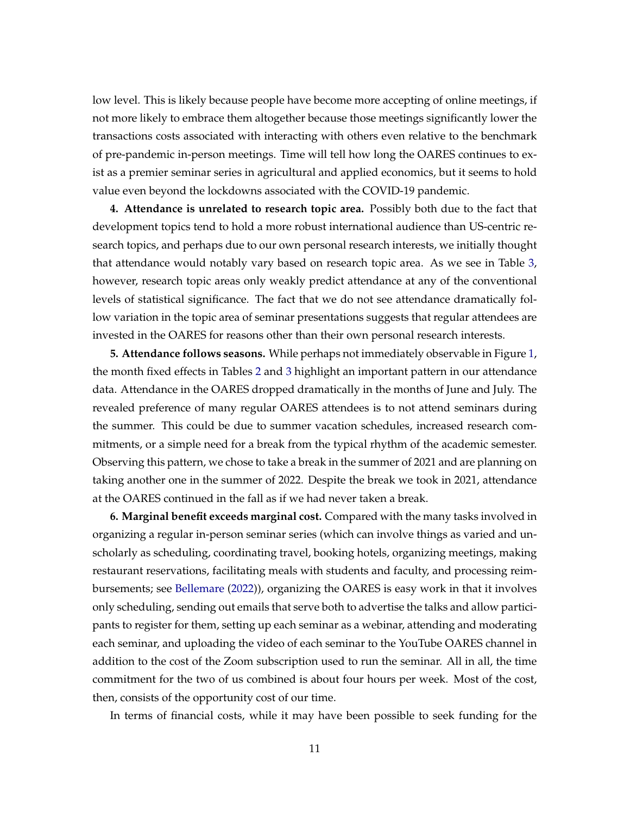low level. This is likely because people have become more accepting of online meetings, if not more likely to embrace them altogether because those meetings significantly lower the transactions costs associated with interacting with others even relative to the benchmark of pre-pandemic in-person meetings. Time will tell how long the OARES continues to exist as a premier seminar series in agricultural and applied economics, but it seems to hold value even beyond the lockdowns associated with the COVID-19 pandemic.

**4. Attendance is unrelated to research topic area.** Possibly both due to the fact that development topics tend to hold a more robust international audience than US-centric research topics, and perhaps due to our own personal research interests, we initially thought that attendance would notably vary based on research topic area. As we see in Table [3,](#page-16-0) however, research topic areas only weakly predict attendance at any of the conventional levels of statistical significance. The fact that we do not see attendance dramatically follow variation in the topic area of seminar presentations suggests that regular attendees are invested in the OARES for reasons other than their own personal research interests.

**5. Attendance follows seasons.** While perhaps not immediately observable in Figure [1,](#page-17-0) the month fixed effects in Tables [2](#page-15-0) and [3](#page-16-0) highlight an important pattern in our attendance data. Attendance in the OARES dropped dramatically in the months of June and July. The revealed preference of many regular OARES attendees is to not attend seminars during the summer. This could be due to summer vacation schedules, increased research commitments, or a simple need for a break from the typical rhythm of the academic semester. Observing this pattern, we chose to take a break in the summer of 2021 and are planning on taking another one in the summer of 2022. Despite the break we took in 2021, attendance at the OARES continued in the fall as if we had never taken a break.

**6. Marginal benefit exceeds marginal cost.** Compared with the many tasks involved in organizing a regular in-person seminar series (which can involve things as varied and unscholarly as scheduling, coordinating travel, booking hotels, organizing meetings, making restaurant reservations, facilitating meals with students and faculty, and processing reimbursements; see [Bellemare](#page-20-5) [\(2022\)](#page-20-5)), organizing the OARES is easy work in that it involves only scheduling, sending out emails that serve both to advertise the talks and allow participants to register for them, setting up each seminar as a webinar, attending and moderating each seminar, and uploading the video of each seminar to the YouTube OARES channel in addition to the cost of the Zoom subscription used to run the seminar. All in all, the time commitment for the two of us combined is about four hours per week. Most of the cost, then, consists of the opportunity cost of our time.

In terms of financial costs, while it may have been possible to seek funding for the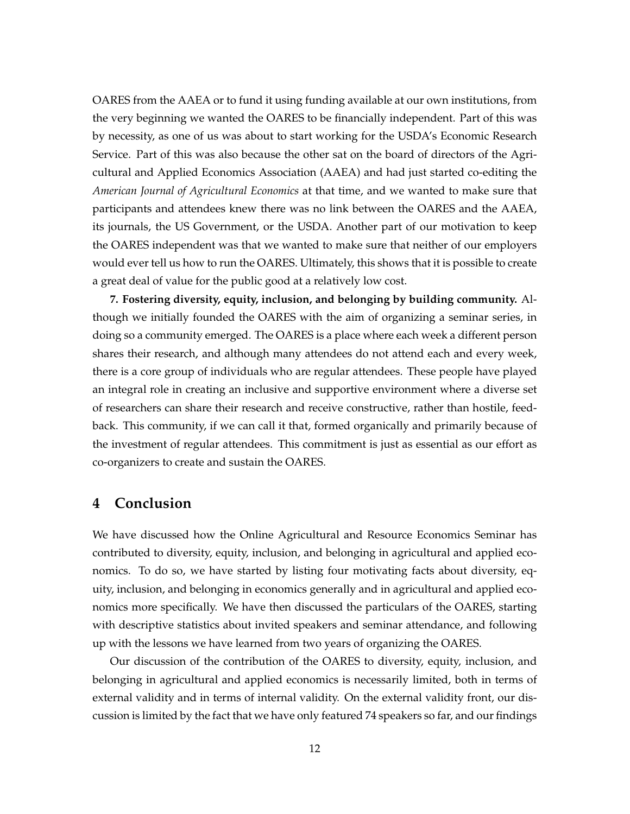OARES from the AAEA or to fund it using funding available at our own institutions, from the very beginning we wanted the OARES to be financially independent. Part of this was by necessity, as one of us was about to start working for the USDA's Economic Research Service. Part of this was also because the other sat on the board of directors of the Agricultural and Applied Economics Association (AAEA) and had just started co-editing the *American Journal of Agricultural Economics* at that time, and we wanted to make sure that participants and attendees knew there was no link between the OARES and the AAEA, its journals, the US Government, or the USDA. Another part of our motivation to keep the OARES independent was that we wanted to make sure that neither of our employers would ever tell us how to run the OARES. Ultimately, this shows that it is possible to create a great deal of value for the public good at a relatively low cost.

**7. Fostering diversity, equity, inclusion, and belonging by building community.** Although we initially founded the OARES with the aim of organizing a seminar series, in doing so a community emerged. The OARES is a place where each week a different person shares their research, and although many attendees do not attend each and every week, there is a core group of individuals who are regular attendees. These people have played an integral role in creating an inclusive and supportive environment where a diverse set of researchers can share their research and receive constructive, rather than hostile, feedback. This community, if we can call it that, formed organically and primarily because of the investment of regular attendees. This commitment is just as essential as our effort as co-organizers to create and sustain the OARES.

### **4 Conclusion**

We have discussed how the Online Agricultural and Resource Economics Seminar has contributed to diversity, equity, inclusion, and belonging in agricultural and applied economics. To do so, we have started by listing four motivating facts about diversity, equity, inclusion, and belonging in economics generally and in agricultural and applied economics more specifically. We have then discussed the particulars of the OARES, starting with descriptive statistics about invited speakers and seminar attendance, and following up with the lessons we have learned from two years of organizing the OARES.

Our discussion of the contribution of the OARES to diversity, equity, inclusion, and belonging in agricultural and applied economics is necessarily limited, both in terms of external validity and in terms of internal validity. On the external validity front, our discussion is limited by the fact that we have only featured 74 speakers so far, and our findings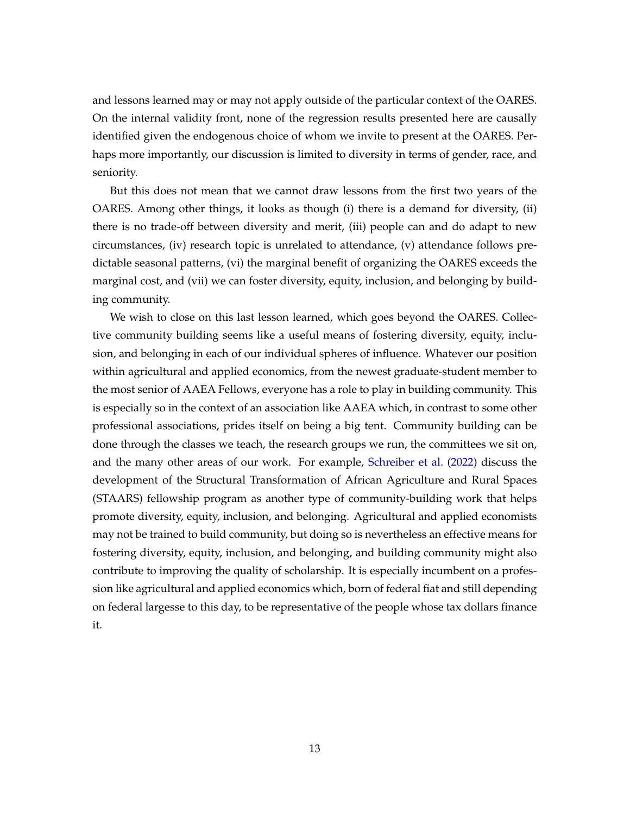and lessons learned may or may not apply outside of the particular context of the OARES. On the internal validity front, none of the regression results presented here are causally identified given the endogenous choice of whom we invite to present at the OARES. Perhaps more importantly, our discussion is limited to diversity in terms of gender, race, and seniority.

But this does not mean that we cannot draw lessons from the first two years of the OARES. Among other things, it looks as though (i) there is a demand for diversity, (ii) there is no trade-off between diversity and merit, (iii) people can and do adapt to new circumstances, (iv) research topic is unrelated to attendance, (v) attendance follows predictable seasonal patterns, (vi) the marginal benefit of organizing the OARES exceeds the marginal cost, and (vii) we can foster diversity, equity, inclusion, and belonging by building community.

We wish to close on this last lesson learned, which goes beyond the OARES. Collective community building seems like a useful means of fostering diversity, equity, inclusion, and belonging in each of our individual spheres of influence. Whatever our position within agricultural and applied economics, from the newest graduate-student member to the most senior of AAEA Fellows, everyone has a role to play in building community. This is especially so in the context of an association like AAEA which, in contrast to some other professional associations, prides itself on being a big tent. Community building can be done through the classes we teach, the research groups we run, the committees we sit on, and the many other areas of our work. For example, [Schreiber et al.](#page-22-5) [\(2022\)](#page-22-5) discuss the development of the Structural Transformation of African Agriculture and Rural Spaces (STAARS) fellowship program as another type of community-building work that helps promote diversity, equity, inclusion, and belonging. Agricultural and applied economists may not be trained to build community, but doing so is nevertheless an effective means for fostering diversity, equity, inclusion, and belonging, and building community might also contribute to improving the quality of scholarship. It is especially incumbent on a profession like agricultural and applied economics which, born of federal fiat and still depending on federal largesse to this day, to be representative of the people whose tax dollars finance it.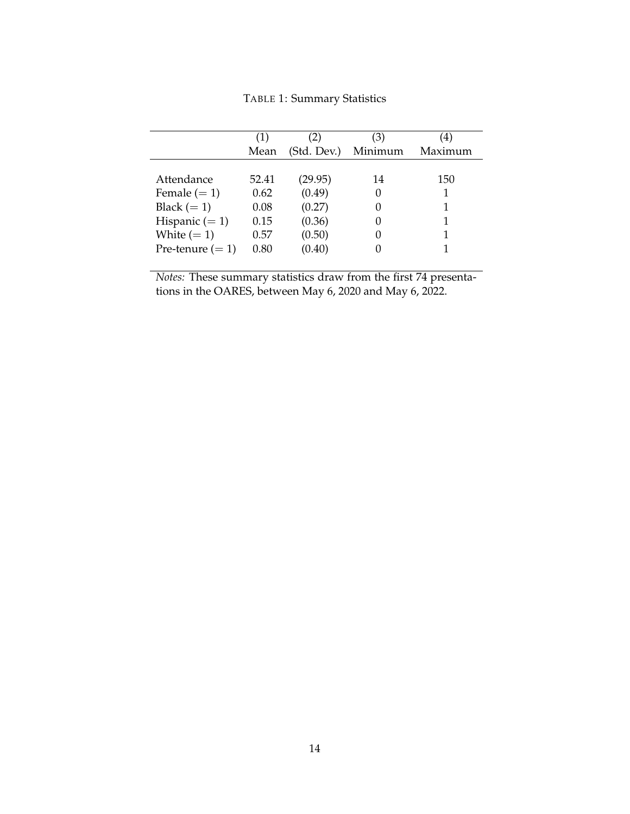TABLE 1: Summary Statistics

<span id="page-14-0"></span>

|                    | Mean  | (Std. Dev.) | (3)<br>Minimum   | 4)<br>Maximum |
|--------------------|-------|-------------|------------------|---------------|
| Attendance         | 52.41 | (29.95)     | 14               | 150           |
| Female $(= 1)$     | 0.62  | (0.49)      | $\left( \right)$ |               |
| Black $(= 1)$      | 0.08  | (0.27)      | $\left( \right)$ |               |
| Hispanic $(= 1)$   | 0.15  | (0.36)      | $\left( \right)$ |               |
| White $(= 1)$      | 0.57  | (0.50)      |                  |               |
| Pre-tenure $(= 1)$ | 0.80  | (0.40)      |                  |               |

*Notes:* These summary statistics draw from the first 74 presentations in the OARES, between May 6, 2020 and May 6, 2022.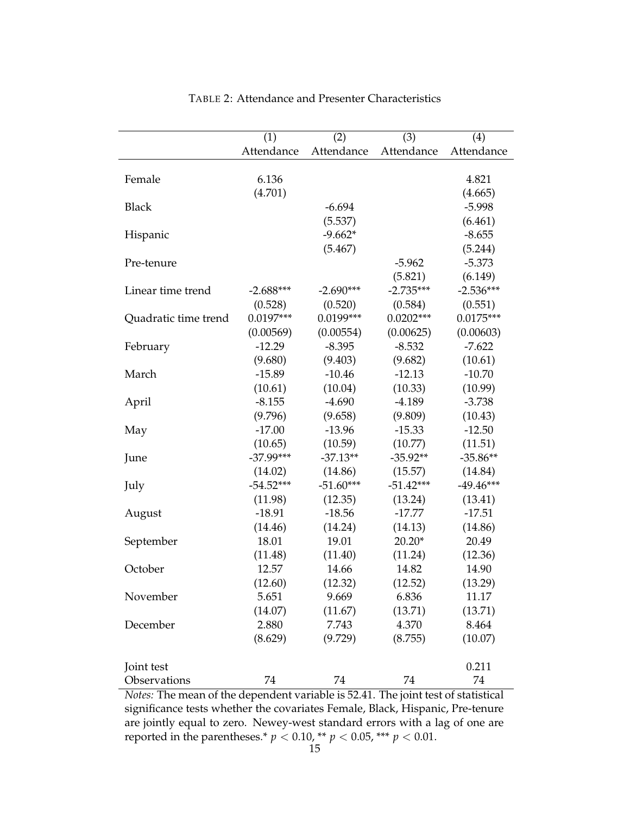<span id="page-15-0"></span>

|                      | (1)         | (2)         | (3)         | (4)         |
|----------------------|-------------|-------------|-------------|-------------|
|                      | Attendance  | Attendance  | Attendance  | Attendance  |
|                      |             |             |             |             |
| Female               | 6.136       |             |             | 4.821       |
|                      | (4.701)     |             |             | (4.665)     |
| <b>Black</b>         |             | $-6.694$    |             | $-5.998$    |
|                      |             | (5.537)     |             | (6.461)     |
| Hispanic             |             | $-9.662*$   |             | $-8.655$    |
|                      |             | (5.467)     |             | (5.244)     |
| Pre-tenure           |             |             | $-5.962$    | $-5.373$    |
|                      |             |             | (5.821)     | (6.149)     |
| Linear time trend    | $-2.688***$ | $-2.690***$ | $-2.735***$ | $-2.536***$ |
|                      | (0.528)     | (0.520)     | (0.584)     | (0.551)     |
| Quadratic time trend | $0.0197***$ | $0.0199***$ | $0.0202***$ | $0.0175***$ |
|                      | (0.00569)   | (0.00554)   | (0.00625)   | (0.00603)   |
| February             | $-12.29$    | $-8.395$    | $-8.532$    | $-7.622$    |
|                      | (9.680)     | (9.403)     | (9.682)     | (10.61)     |
| March                | $-15.89$    | $-10.46$    | $-12.13$    | $-10.70$    |
|                      | (10.61)     | (10.04)     | (10.33)     | (10.99)     |
| April                | $-8.155$    | $-4.690$    | $-4.189$    | $-3.738$    |
|                      | (9.796)     | (9.658)     | (9.809)     | (10.43)     |
| May                  | $-17.00$    | $-13.96$    | $-15.33$    | $-12.50$    |
|                      | (10.65)     | (10.59)     | (10.77)     | (11.51)     |
| June                 | $-37.99***$ | $-37.13**$  | $-35.92**$  | $-35.86**$  |
|                      | (14.02)     | (14.86)     | (15.57)     | (14.84)     |
| July                 | $-54.52***$ | $-51.60***$ | $-51.42***$ | $-49.46***$ |
|                      | (11.98)     | (12.35)     | (13.24)     | (13.41)     |
| August               | $-18.91$    | $-18.56$    | $-17.77$    | $-17.51$    |
|                      | (14.46)     | (14.24)     | (14.13)     | (14.86)     |
| September            | 18.01       | 19.01       | $20.20*$    | 20.49       |
|                      | (11.48)     | (11.40)     | (11.24)     | (12.36)     |
| October              | 12.57       | 14.66       | 14.82       | 14.90       |
|                      | (12.60)     | (12.32)     | (12.52)     | (13.29)     |
| November             | 5.651       | 9.669       | 6.836       | 11.17       |
|                      | (14.07)     | (11.67)     | (13.71)     | (13.71)     |
| December             | 2.880       | 7.743       | 4.370       | 8.464       |
|                      | (8.629)     | (9.729)     | (8.755)     | (10.07)     |
|                      |             |             |             |             |
| Joint test           |             |             |             | 0.211       |
| Observations         | 74          | 74          | 74          | 74          |

TABLE 2: Attendance and Presenter Characteristics

*Notes:* The mean of the dependent variable is 52.41. The joint test of statistical significance tests whether the covariates Female, Black, Hispanic, Pre-tenure are jointly equal to zero. Newey-west standard errors with a lag of one are reported in the parentheses.\*  $p < 0.10$ , \*\*  $p < 0.05$ , \*\*\*  $p < 0.01$ .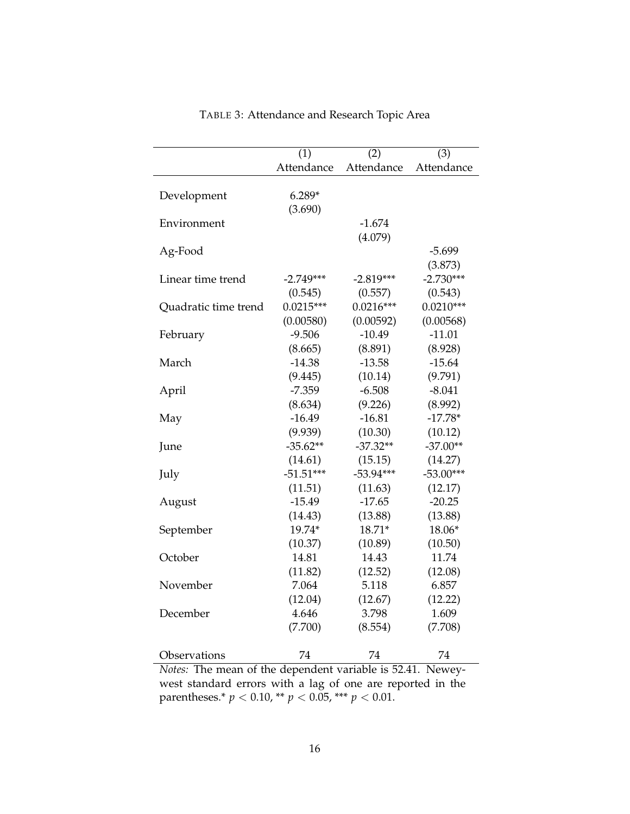<span id="page-16-0"></span>

|                                                                    | $\overline{(1)}$ | (2)         | (3)          |
|--------------------------------------------------------------------|------------------|-------------|--------------|
|                                                                    | Attendance       | Attendance  | Attendance   |
|                                                                    |                  |             |              |
| Development                                                        | $6.289*$         |             |              |
|                                                                    | (3.690)          |             |              |
| Environment                                                        |                  | $-1.674$    |              |
|                                                                    |                  | (4.079)     |              |
| Ag-Food                                                            |                  |             | $-5.699$     |
|                                                                    |                  |             | (3.873)      |
| Linear time trend                                                  | $-2.749***$      | $-2.819***$ | $-2.730***$  |
|                                                                    | (0.545)          | (0.557)     | (0.543)      |
| Quadratic time trend                                               | $0.0215***$      | $0.0216***$ | $0.0210***$  |
|                                                                    | (0.00580)        | (0.00592)   | (0.00568)    |
| February                                                           | $-9.506$         | $-10.49$    | $-11.01$     |
|                                                                    | (8.665)          | (8.891)     | (8.928)      |
| March                                                              | $-14.38$         | $-13.58$    | $-15.64$     |
|                                                                    | (9.445)          | (10.14)     | (9.791)      |
| April                                                              | $-7.359$         | $-6.508$    | $-8.041$     |
|                                                                    | (8.634)          | (9.226)     | (8.992)      |
| May                                                                | $-16.49$         | $-16.81$    | $-17.78*$    |
|                                                                    | (9.939)          | (10.30)     | (10.12)      |
| June                                                               | $-35.62**$       | $-37.32**$  | $-37.00**$   |
|                                                                    | (14.61)          | (15.15)     | (14.27)      |
| July                                                               | $-51.51***$      | $-53.94***$ | $-53.00***$  |
|                                                                    | (11.51)          | (11.63)     | (12.17)      |
| August                                                             | $-15.49$         | $-17.65$    | $-20.25$     |
|                                                                    | (14.43)          | (13.88)     | (13.88)      |
| September                                                          | 19.74*           | 18.71*      | 18.06*       |
|                                                                    | (10.37)          | (10.89)     | (10.50)      |
| October                                                            | 14.81            | 14.43       | 11.74        |
|                                                                    | (11.82)          | (12.52)     | (12.08)      |
| November                                                           | 7.064            | 5.118       | 6.857        |
|                                                                    | (12.04)          | (12.67)     | (12.22)      |
| December                                                           | 4.646            | 3.798       | 1.609        |
|                                                                    | (7.700)          | (8.554)     | (7.708)      |
|                                                                    |                  |             |              |
| Observations<br>Notes: The mean of the dependent variable is 52.41 | 74               | 74          | 74<br>Newey- |

TABLE 3: Attendance and Research Topic Area

*Notes:* The mean of the dependent variable is 52.41. Neweywest standard errors with a lag of one are reported in the parentheses.\*  $p < 0.10$ , \*\*  $p < 0.05$ , \*\*\*  $p < 0.01$ .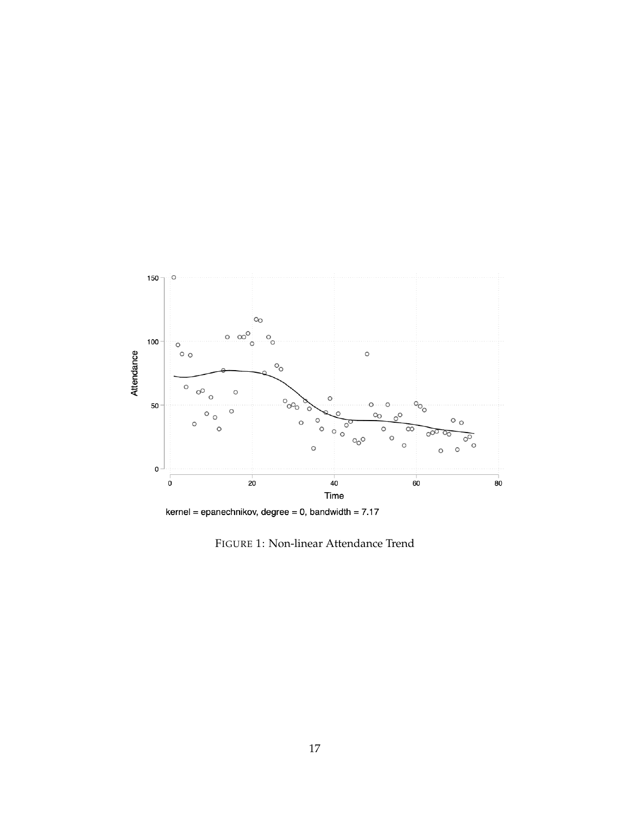<span id="page-17-0"></span>

kernel = epanechnikov, degree = 0, bandwidth =  $7.17$ 

FIGURE 1: Non-linear Attendance Trend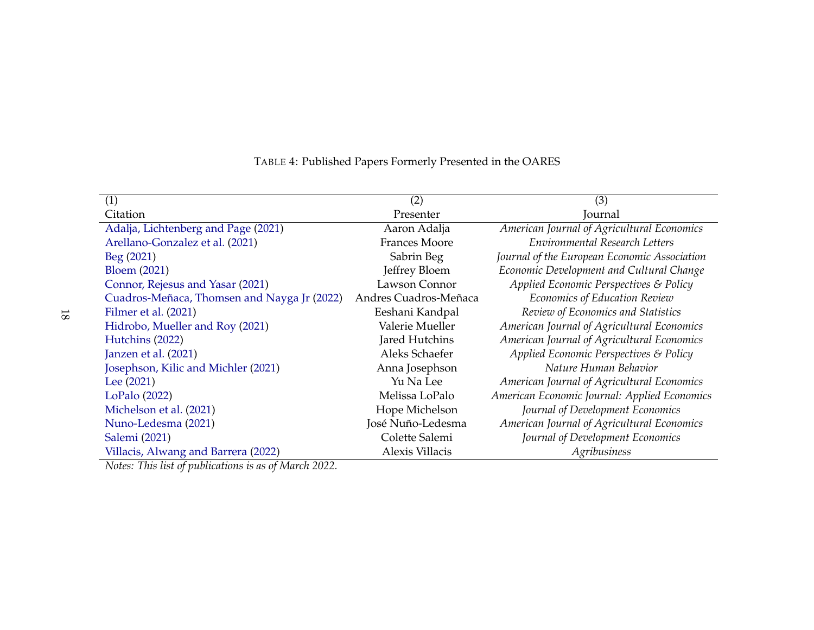| (1)                                                                                                                                                                                                                                                                                                                                                                                                                    | (2)                   | (3)                                          |
|------------------------------------------------------------------------------------------------------------------------------------------------------------------------------------------------------------------------------------------------------------------------------------------------------------------------------------------------------------------------------------------------------------------------|-----------------------|----------------------------------------------|
| Citation                                                                                                                                                                                                                                                                                                                                                                                                               | Presenter             | Journal                                      |
| Adalja, Lichtenberg and Page (2021)                                                                                                                                                                                                                                                                                                                                                                                    | Aaron Adalja          | American Journal of Agricultural Economics   |
| Arellano-Gonzalez et al. (2021)                                                                                                                                                                                                                                                                                                                                                                                        | <b>Frances Moore</b>  | Environmental Research Letters               |
| Beg (2021)                                                                                                                                                                                                                                                                                                                                                                                                             | Sabrin Beg            | Journal of the European Economic Association |
| <b>Bloem (2021)</b>                                                                                                                                                                                                                                                                                                                                                                                                    | Jeffrey Bloem         | Economic Development and Cultural Change     |
| Connor, Rejesus and Yasar (2021)                                                                                                                                                                                                                                                                                                                                                                                       | Lawson Connor         | Applied Economic Perspectives & Policy       |
| Cuadros-Meñaca, Thomsen and Nayga Jr (2022)                                                                                                                                                                                                                                                                                                                                                                            | Andres Cuadros-Meñaca | Economics of Education Review                |
| Filmer et al. (2021)                                                                                                                                                                                                                                                                                                                                                                                                   | Eeshani Kandpal       | Review of Economics and Statistics           |
| Hidrobo, Mueller and Roy (2021)                                                                                                                                                                                                                                                                                                                                                                                        | Valerie Mueller       | American Journal of Agricultural Economics   |
| Hutchins (2022)                                                                                                                                                                                                                                                                                                                                                                                                        | Jared Hutchins        | American Journal of Agricultural Economics   |
| Janzen et al. (2021)                                                                                                                                                                                                                                                                                                                                                                                                   | Aleks Schaefer        | Applied Economic Perspectives & Policy       |
| Josephson, Kilic and Michler (2021)                                                                                                                                                                                                                                                                                                                                                                                    | Anna Josephson        | Nature Human Behavior                        |
| Lee $(2021)$                                                                                                                                                                                                                                                                                                                                                                                                           | Yu Na Lee             | American Journal of Agricultural Economics   |
| LoPalo(2022)                                                                                                                                                                                                                                                                                                                                                                                                           | Melissa LoPalo        | American Economic Journal: Applied Economics |
| Michelson et al. (2021)                                                                                                                                                                                                                                                                                                                                                                                                | Hope Michelson        | Journal of Development Economics             |
| Nuno-Ledesma (2021)                                                                                                                                                                                                                                                                                                                                                                                                    | José Nuño-Ledesma     | American Journal of Agricultural Economics   |
| Salemi (2021)                                                                                                                                                                                                                                                                                                                                                                                                          | Colette Salemi        | Journal of Development Economics             |
| Villacis, Alwang and Barrera (2022)<br>$\mathbf{r}$ $\mathbf{r}$ $\mathbf{r}$ $\mathbf{r}$ $\mathbf{r}$ $\mathbf{r}$ $\mathbf{r}$ $\mathbf{r}$ $\mathbf{r}$ $\mathbf{r}$ $\mathbf{r}$ $\mathbf{r}$ $\mathbf{r}$ $\mathbf{r}$ $\mathbf{r}$ $\mathbf{r}$ $\mathbf{r}$ $\mathbf{r}$ $\mathbf{r}$ $\mathbf{r}$ $\mathbf{r}$ $\mathbf{r}$ $\mathbf{r}$ $\mathbf{r}$ $\mathbf{$<br>$\mathcal{L}$ and $\mathcal{L}$<br>1.0002 | Alexis Villacis       | Agribusiness                                 |

## <span id="page-18-0"></span>TABLE 4: Published Papers Formerly Presented in the OARES

*Notes: This list of publications is as of March 2022.*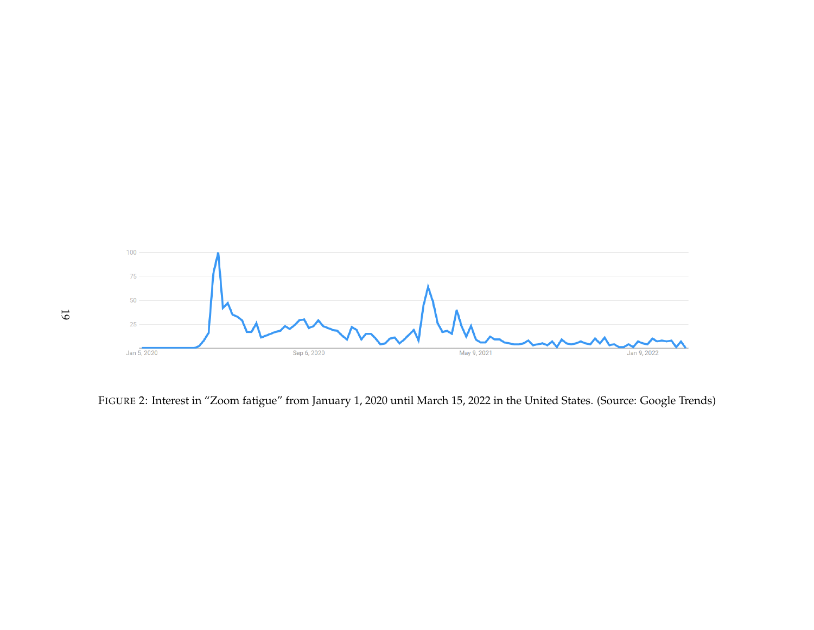<span id="page-19-0"></span>

FIGURE 2: Interest in "Zoom fatigue" from January 1, <sup>2020</sup> until March 15, <sup>2022</sup> in the United States. (Source: Google Trends)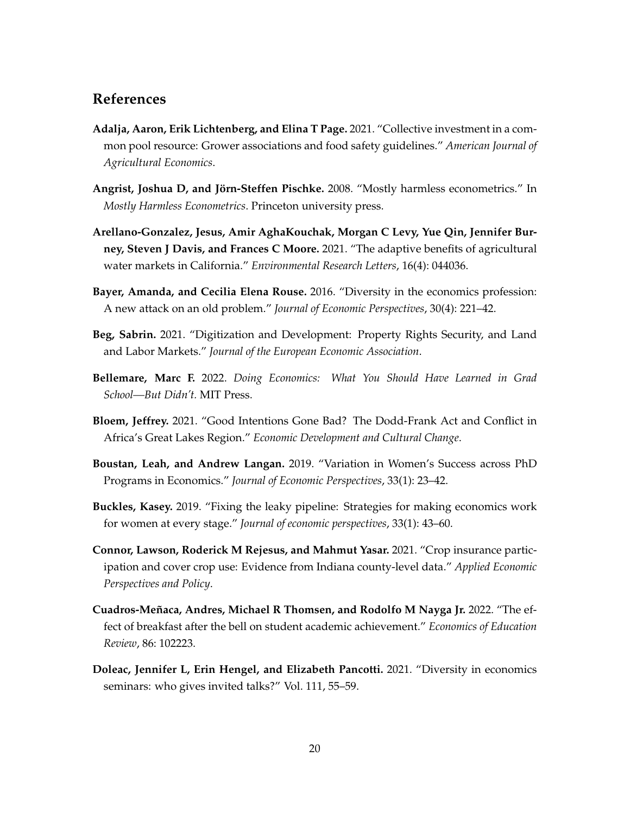### <span id="page-20-11"></span><span id="page-20-10"></span><span id="page-20-9"></span><span id="page-20-8"></span><span id="page-20-7"></span><span id="page-20-6"></span>**References**

- **Adalja, Aaron, Erik Lichtenberg, and Elina T Page.** 2021. "Collective investment in a common pool resource: Grower associations and food safety guidelines." *American Journal of Agricultural Economics*.
- <span id="page-20-4"></span>**Angrist, Joshua D, and Jörn-Steffen Pischke.** 2008. "Mostly harmless econometrics." In *Mostly Harmless Econometrics*. Princeton university press.
- **Arellano-Gonzalez, Jesus, Amir AghaKouchak, Morgan C Levy, Yue Qin, Jennifer Burney, Steven J Davis, and Frances C Moore.** 2021. "The adaptive benefits of agricultural water markets in California." *Environmental Research Letters*, 16(4): 044036.
- <span id="page-20-0"></span>**Bayer, Amanda, and Cecilia Elena Rouse.** 2016. "Diversity in the economics profession: A new attack on an old problem." *Journal of Economic Perspectives*, 30(4): 221–42.
- **Beg, Sabrin.** 2021. "Digitization and Development: Property Rights Security, and Land and Labor Markets." *Journal of the European Economic Association*.
- <span id="page-20-5"></span>**Bellemare, Marc F.** 2022. *Doing Economics: What You Should Have Learned in Grad School—But Didn't.* MIT Press.
- **Bloem, Jeffrey.** 2021. "Good Intentions Gone Bad? The Dodd-Frank Act and Conflict in Africa's Great Lakes Region." *Economic Development and Cultural Change*.
- <span id="page-20-2"></span>**Boustan, Leah, and Andrew Langan.** 2019. "Variation in Women's Success across PhD Programs in Economics." *Journal of Economic Perspectives*, 33(1): 23–42.
- <span id="page-20-1"></span>**Buckles, Kasey.** 2019. "Fixing the leaky pipeline: Strategies for making economics work for women at every stage." *Journal of economic perspectives*, 33(1): 43–60.
- **Connor, Lawson, Roderick M Rejesus, and Mahmut Yasar.** 2021. "Crop insurance participation and cover crop use: Evidence from Indiana county-level data." *Applied Economic Perspectives and Policy*.
- **Cuadros-Meñaca, Andres, Michael R Thomsen, and Rodolfo M Nayga Jr.** 2022. "The effect of breakfast after the bell on student academic achievement." *Economics of Education Review*, 86: 102223.
- <span id="page-20-3"></span>**Doleac, Jennifer L, Erin Hengel, and Elizabeth Pancotti.** 2021. "Diversity in economics seminars: who gives invited talks?" Vol. 111, 55–59.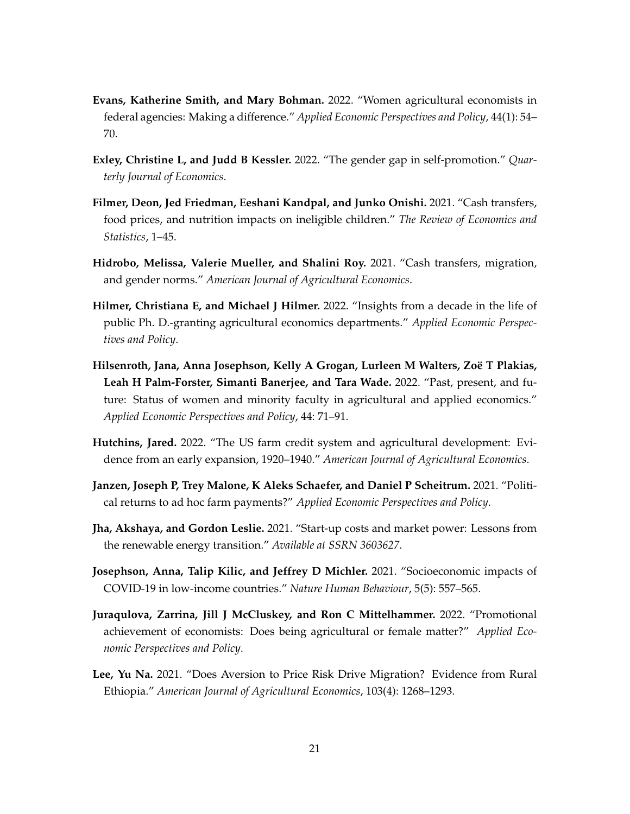- <span id="page-21-12"></span><span id="page-21-11"></span><span id="page-21-10"></span><span id="page-21-9"></span><span id="page-21-8"></span><span id="page-21-7"></span><span id="page-21-1"></span>**Evans, Katherine Smith, and Mary Bohman.** 2022. "Women agricultural economists in federal agencies: Making a difference." *Applied Economic Perspectives and Policy*, 44(1): 54– 70.
- <span id="page-21-4"></span>**Exley, Christine L, and Judd B Kessler.** 2022. "The gender gap in self-promotion." *Quarterly Journal of Economics*.
- **Filmer, Deon, Jed Friedman, Eeshani Kandpal, and Junko Onishi.** 2021. "Cash transfers, food prices, and nutrition impacts on ineligible children." *The Review of Economics and Statistics*, 1–45.
- **Hidrobo, Melissa, Valerie Mueller, and Shalini Roy.** 2021. "Cash transfers, migration, and gender norms." *American Journal of Agricultural Economics*.
- <span id="page-21-2"></span>**Hilmer, Christiana E, and Michael J Hilmer.** 2022. "Insights from a decade in the life of public Ph. D.-granting agricultural economics departments." *Applied Economic Perspectives and Policy*.
- <span id="page-21-0"></span>**Hilsenroth, Jana, Anna Josephson, Kelly A Grogan, Lurleen M Walters, Zoë T Plakias, Leah H Palm-Forster, Simanti Banerjee, and Tara Wade.** 2022. "Past, present, and future: Status of women and minority faculty in agricultural and applied economics." *Applied Economic Perspectives and Policy*, 44: 71–91.
- <span id="page-21-6"></span>**Hutchins, Jared.** 2022. "The US farm credit system and agricultural development: Evidence from an early expansion, 1920–1940." *American Journal of Agricultural Economics*.
- **Janzen, Joseph P, Trey Malone, K Aleks Schaefer, and Daniel P Scheitrum.** 2021. "Political returns to ad hoc farm payments?" *Applied Economic Perspectives and Policy*.
- <span id="page-21-5"></span>**Jha, Akshaya, and Gordon Leslie.** 2021. "Start-up costs and market power: Lessons from the renewable energy transition." *Available at SSRN 3603627*.
- **Josephson, Anna, Talip Kilic, and Jeffrey D Michler.** 2021. "Socioeconomic impacts of COVID-19 in low-income countries." *Nature Human Behaviour*, 5(5): 557–565.
- <span id="page-21-3"></span>**Juraqulova, Zarrina, Jill J McCluskey, and Ron C Mittelhammer.** 2022. "Promotional achievement of economists: Does being agricultural or female matter?" *Applied Economic Perspectives and Policy*.
- **Lee, Yu Na.** 2021. "Does Aversion to Price Risk Drive Migration? Evidence from Rural Ethiopia." *American Journal of Agricultural Economics*, 103(4): 1268–1293.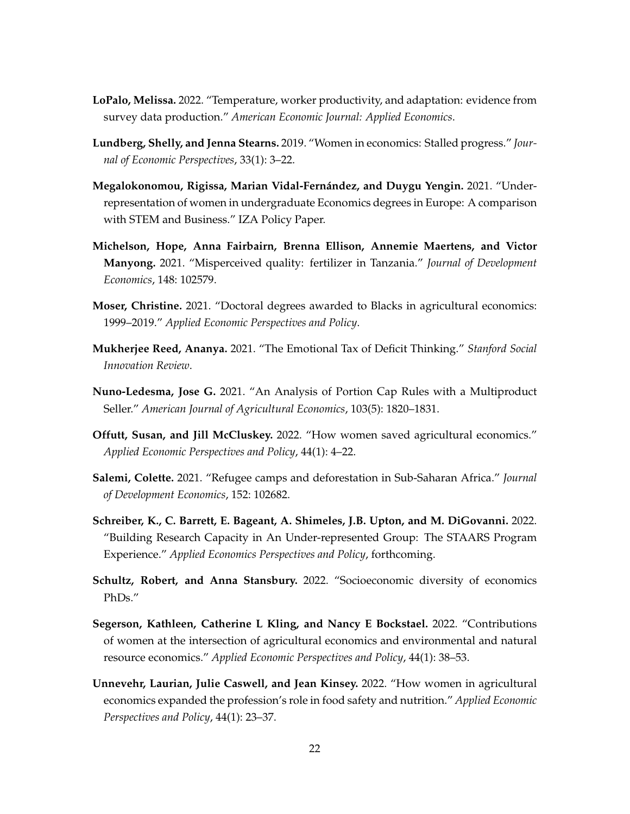- <span id="page-22-12"></span><span id="page-22-11"></span><span id="page-22-10"></span><span id="page-22-9"></span>**LoPalo, Melissa.** 2022. "Temperature, worker productivity, and adaptation: evidence from survey data production." *American Economic Journal: Applied Economics*.
- <span id="page-22-6"></span>**Lundberg, Shelly, and Jenna Stearns.** 2019. "Women in economics: Stalled progress." *Journal of Economic Perspectives*, 33(1): 3–22.
- <span id="page-22-7"></span>**Megalokonomou, Rigissa, Marian Vidal-Fernández, and Duygu Yengin.** 2021. "Underrepresentation of women in undergraduate Economics degrees in Europe: A comparison with STEM and Business." IZA Policy Paper.
- **Michelson, Hope, Anna Fairbairn, Brenna Ellison, Annemie Maertens, and Victor Manyong.** 2021. "Misperceived quality: fertilizer in Tanzania." *Journal of Development Economics*, 148: 102579.
- <span id="page-22-0"></span>**Moser, Christine.** 2021. "Doctoral degrees awarded to Blacks in agricultural economics: 1999–2019." *Applied Economic Perspectives and Policy*.
- <span id="page-22-8"></span>**Mukherjee Reed, Ananya.** 2021. "The Emotional Tax of Deficit Thinking." *Stanford Social Innovation Review*.
- **Nuno-Ledesma, Jose G.** 2021. "An Analysis of Portion Cap Rules with a Multiproduct Seller." *American Journal of Agricultural Economics*, 103(5): 1820–1831.
- <span id="page-22-1"></span>**Offutt, Susan, and Jill McCluskey.** 2022. "How women saved agricultural economics." *Applied Economic Perspectives and Policy*, 44(1): 4–22.
- **Salemi, Colette.** 2021. "Refugee camps and deforestation in Sub-Saharan Africa." *Journal of Development Economics*, 152: 102682.
- <span id="page-22-5"></span>**Schreiber, K., C. Barrett, E. Bageant, A. Shimeles, J.B. Upton, and M. DiGovanni.** 2022. "Building Research Capacity in An Under-represented Group: The STAARS Program Experience." *Applied Economics Perspectives and Policy*, forthcoming.
- <span id="page-22-4"></span>**Schultz, Robert, and Anna Stansbury.** 2022. "Socioeconomic diversity of economics PhDs."
- <span id="page-22-3"></span>**Segerson, Kathleen, Catherine L Kling, and Nancy E Bockstael.** 2022. "Contributions of women at the intersection of agricultural economics and environmental and natural resource economics." *Applied Economic Perspectives and Policy*, 44(1): 38–53.
- <span id="page-22-2"></span>**Unnevehr, Laurian, Julie Caswell, and Jean Kinsey.** 2022. "How women in agricultural economics expanded the profession's role in food safety and nutrition." *Applied Economic Perspectives and Policy*, 44(1): 23–37.